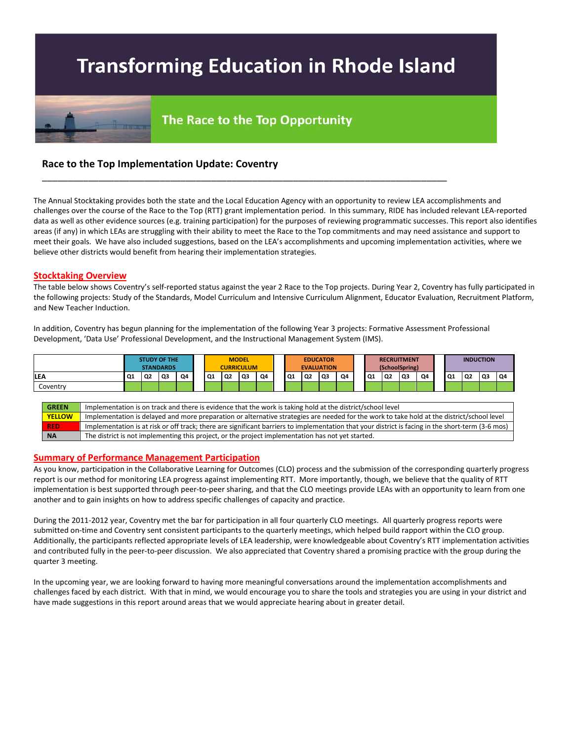# **Transforming Education in Rhode Island**



## The Race to the Top Opportunity

\_\_\_\_\_\_\_\_\_\_\_\_\_\_\_\_\_\_\_\_\_\_\_\_\_\_\_\_\_\_\_\_\_\_\_\_\_\_\_\_\_\_\_\_\_\_\_\_\_\_\_\_\_\_\_\_\_\_\_\_\_\_\_\_\_\_\_\_\_\_\_\_\_\_\_\_\_\_\_

### **Race to the Top Implementation Update: Coventry**

The Annual Stocktaking provides both the state and the Local Education Agency with an opportunity to review LEA accomplishments and challenges over the course of the Race to the Top (RTT) grant implementation period. In this summary, RIDE has included relevant LEA-reported data as well as other evidence sources (e.g. training participation) for the purposes of reviewing programmatic successes. This report also identifies areas (if any) in which LEAs are struggling with their ability to meet the Race to the Top commitments and may need assistance and support to meet their goals. We have also included suggestions, based on the LEA's accomplishments and upcoming implementation activities, where we believe other districts would benefit from hearing their implementation strategies.

#### **Stocktaking Overview**

The table below shows Coventry's self-reported status against the year 2 Race to the Top projects. During Year 2, Coventry has fully participated in the following projects: Study of the Standards, Model Curriculum and Intensive Curriculum Alignment, Educator Evaluation, Recruitment Platform, and New Teacher Induction.

In addition, Coventry has begun planning for the implementation of the following Year 3 projects: Formative Assessment Professional Development, 'Data Use' Professional Development, and the Instructional Management System (IMS).



#### **Summary of Performance Management Participation**

As you know, participation in the Collaborative Learning for Outcomes (CLO) process and the submission of the corresponding quarterly progress report is our method for monitoring LEA progress against implementing RTT. More importantly, though, we believe that the quality of RTT implementation is best supported through peer-to-peer sharing, and that the CLO meetings provide LEAs with an opportunity to learn from one another and to gain insights on how to address specific challenges of capacity and practice.

During the 2011-2012 year, Coventry met the bar for participation in all four quarterly CLO meetings. All quarterly progress reports were submitted on-time and Coventry sent consistent participants to the quarterly meetings, which helped build rapport within the CLO group. Additionally, the participants reflected appropriate levels of LEA leadership, were knowledgeable about Coventry's RTT implementation activities and contributed fully in the peer-to-peer discussion. We also appreciated that Coventry shared a promising practice with the group during the quarter 3 meeting.

In the upcoming year, we are looking forward to having more meaningful conversations around the implementation accomplishments and challenges faced by each district. With that in mind, we would encourage you to share the tools and strategies you are using in your district and have made suggestions in this report around areas that we would appreciate hearing about in greater detail.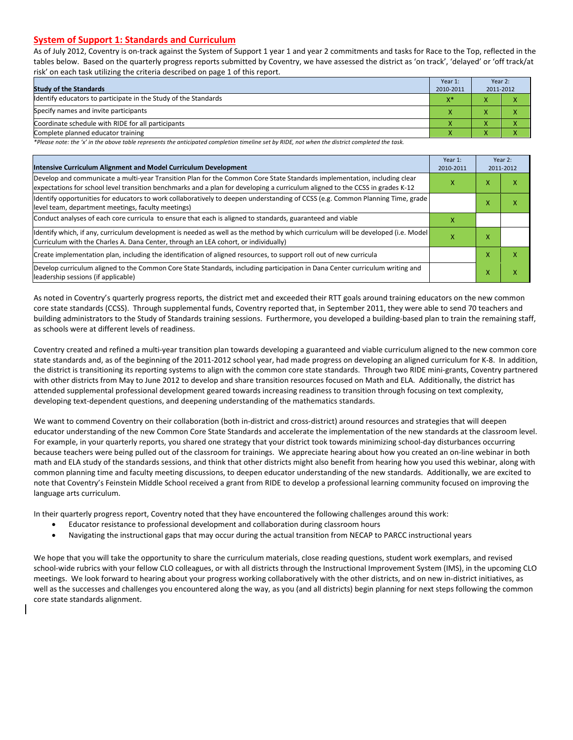#### **System of Support 1: Standards and Curriculum**

As of July 2012, Coventry is on-track against the System of Support 1 year 1 and year 2 commitments and tasks for Race to the Top, reflected in the tables below. Based on the quarterly progress reports submitted by Coventry, we have assessed the district as 'on track', 'delayed' or 'off track/at risk' on each task utilizing the criteria described on page 1 of this report.

| <b>Study of the Standards</b>                                   | Year 1:<br>2010-2011 | Year 2:<br>2011-2012 |  |
|-----------------------------------------------------------------|----------------------|----------------------|--|
| Identify educators to participate in the Study of the Standards | $X^*$                |                      |  |
| Specify names and invite participants                           |                      |                      |  |
| Coordinate schedule with RIDE for all participants              |                      |                      |  |
| Complete planned educator training                              |                      |                      |  |

*\*Please note: the 'x' in the above table represents the anticipated completion timeline set by RIDE, not when the district completed the task.* 

| Intensive Curriculum Alignment and Model Curriculum Development                                                                                                                                                                                           | Year 1:<br>2010-2011 |   | Year 2:<br>2011-2012 |
|-----------------------------------------------------------------------------------------------------------------------------------------------------------------------------------------------------------------------------------------------------------|----------------------|---|----------------------|
| Develop and communicate a multi-year Transition Plan for the Common Core State Standards implementation, including clear<br>expectations for school level transition benchmarks and a plan for developing a curriculum aligned to the CCSS in grades K-12 |                      |   | х                    |
| ldentify opportunities for educators to work collaboratively to deepen understanding of CCSS (e.g. Common Planning Time, grade<br>level team, department meetings, faculty meetings)                                                                      |                      |   | Χ                    |
| Conduct analyses of each core curricula to ensure that each is aligned to standards, guaranteed and viable                                                                                                                                                | x                    |   |                      |
| ldentify which, if any, curriculum development is needed as well as the method by which curriculum will be developed (i.e. Model<br>Curriculum with the Charles A. Dana Center, through an LEA cohort, or individually)                                   | x                    | x |                      |
| Create implementation plan, including the identification of aligned resources, to support roll out of new curricula                                                                                                                                       |                      | Χ |                      |
| Develop curriculum aligned to the Common Core State Standards, including participation in Dana Center curriculum writing and<br>leadership sessions (if applicable)                                                                                       |                      | x | х                    |

As noted in Coventry's quarterly progress reports, the district met and exceeded their RTT goals around training educators on the new common core state standards (CCSS). Through supplemental funds, Coventry reported that, in September 2011, they were able to send 70 teachers and building administrators to the Study of Standards training sessions. Furthermore, you developed a building-based plan to train the remaining staff, as schools were at different levels of readiness.

Coventry created and refined a multi-year transition plan towards developing a guaranteed and viable curriculum aligned to the new common core state standards and, as of the beginning of the 2011-2012 school year, had made progress on developing an aligned curriculum for K-8. In addition, the district is transitioning its reporting systems to align with the common core state standards. Through two RIDE mini-grants, Coventry partnered with other districts from May to June 2012 to develop and share transition resources focused on Math and ELA. Additionally, the district has attended supplemental professional development geared towards increasing readiness to transition through focusing on text complexity, developing text-dependent questions, and deepening understanding of the mathematics standards.

We want to commend Coventry on their collaboration (both in-district and cross-district) around resources and strategies that will deepen educator understanding of the new Common Core State Standards and accelerate the implementation of the new standards at the classroom level. For example, in your quarterly reports, you shared one strategy that your district took towards minimizing school-day disturbances occurring because teachers were being pulled out of the classroom for trainings. We appreciate hearing about how you created an on-line webinar in both math and ELA study of the standards sessions, and think that other districts might also benefit from hearing how you used this webinar, along with common planning time and faculty meeting discussions, to deepen educator understanding of the new standards. Additionally, we are excited to note that Coventry's Feinstein Middle School received a grant from RIDE to develop a professional learning community focused on improving the language arts curriculum.

In their quarterly progress report, Coventry noted that they have encountered the following challenges around this work:

- Educator resistance to professional development and collaboration during classroom hours
- Navigating the instructional gaps that may occur during the actual transition from NECAP to PARCC instructional years

We hope that you will take the opportunity to share the curriculum materials, close reading questions, student work exemplars, and revised school-wide rubrics with your fellow CLO colleagues, or with all districts through the Instructional Improvement System (IMS), in the upcoming CLO meetings. We look forward to hearing about your progress working collaboratively with the other districts, and on new in-district initiatives, as well as the successes and challenges you encountered along the way, as you (and all districts) begin planning for next steps following the common core state standards alignment.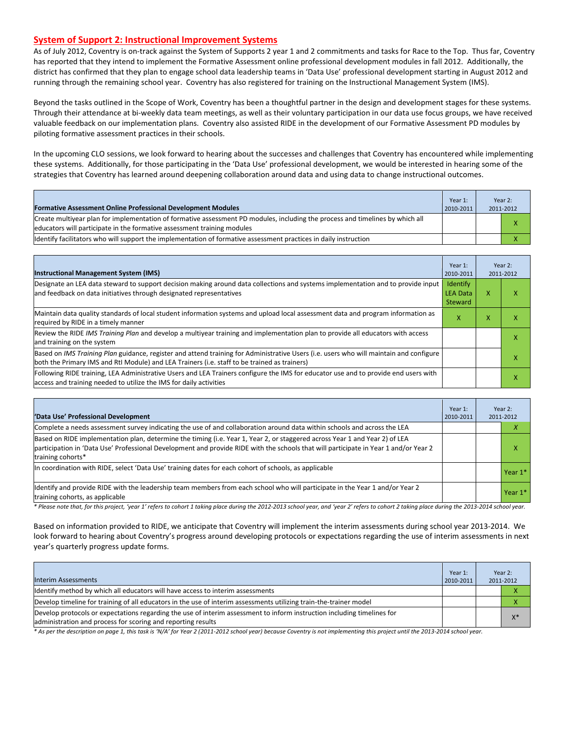#### **System of Support 2: Instructional Improvement Systems**

As of July 2012, Coventry is on-track against the System of Supports 2 year 1 and 2 commitments and tasks for Race to the Top. Thus far, Coventry has reported that they intend to implement the Formative Assessment online professional development modules in fall 2012. Additionally, the district has confirmed that they plan to engage school data leadership teams in 'Data Use' professional development starting in August 2012 and running through the remaining school year. Coventry has also registered for training on the Instructional Management System (IMS).

Beyond the tasks outlined in the Scope of Work, Coventry has been a thoughtful partner in the design and development stages for these systems. Through their attendance at bi-weekly data team meetings, as well as their voluntary participation in our data use focus groups, we have received valuable feedback on our implementation plans. Coventry also assisted RIDE in the development of our Formative Assessment PD modules by piloting formative assessment practices in their schools.

In the upcoming CLO sessions, we look forward to hearing about the successes and challenges that Coventry has encountered while implementing these systems. Additionally, for those participating in the 'Data Use' professional development, we would be interested in hearing some of the strategies that Coventry has learned around deepening collaboration around data and using data to change instructional outcomes.

| <b>Formative Assessment Online Professional Development Modules</b>                                                                                                                                      | Year 1:<br>2010-2011 | Year 2:<br>2011-2012 |
|----------------------------------------------------------------------------------------------------------------------------------------------------------------------------------------------------------|----------------------|----------------------|
| Create multivear plan for implementation of formative assessment PD modules, including the process and timelines by which all<br>educators will participate in the formative assessment training modules |                      |                      |
| Ildentify facilitators who will support the implementation of formative assessment practices in daily instruction                                                                                        |                      |                      |

| <b>Instructional Management System (IMS)</b>                                                                                                                                                                                           | Year 1:<br>2010-2011                   |   | Year 2:<br>2011-2012 |
|----------------------------------------------------------------------------------------------------------------------------------------------------------------------------------------------------------------------------------------|----------------------------------------|---|----------------------|
| Designate an LEA data steward to support decision making around data collections and systems implementation and to provide input<br>and feedback on data initiatives through designated representatives                                | <b>Identify</b><br>LEA Data<br>Steward | x |                      |
| Maintain data quality standards of local student information systems and upload local assessment data and program information as<br>required by RIDE in a timely manner                                                                | x                                      | x |                      |
| Review the RIDE IMS Training Plan and develop a multivear training and implementation plan to provide all educators with access<br>and training on the system                                                                          |                                        |   |                      |
| Based on IMS Training Plan guidance, register and attend training for Administrative Users (i.e. users who will maintain and configure<br>both the Primary IMS and RtI Module) and LEA Trainers (i.e. staff to be trained as trainers) |                                        |   | х                    |
| Following RIDE training, LEA Administrative Users and LEA Trainers configure the IMS for educator use and to provide end users with<br>access and training needed to utilize the IMS for daily activities                              |                                        |   | л                    |

| 'Data Use' Professional Development                                                                                                                                                                                                                                                      | Year 1:<br>2010-2011 | 2011-2012 | Year 2:                  |
|------------------------------------------------------------------------------------------------------------------------------------------------------------------------------------------------------------------------------------------------------------------------------------------|----------------------|-----------|--------------------------|
| Complete a needs assessment survey indicating the use of and collaboration around data within schools and across the LEA                                                                                                                                                                 |                      |           | $\overline{\phantom{a}}$ |
| Based on RIDE implementation plan, determine the timing (i.e. Year 1, Year 2, or staggered across Year 1 and Year 2) of LEA<br>participation in 'Data Use' Professional Development and provide RIDE with the schools that will participate in Year 1 and/or Year 2<br>training cohorts* |                      |           | x                        |
| In coordination with RIDE, select 'Data Use' training dates for each cohort of schools, as applicable                                                                                                                                                                                    |                      |           | Year 1*                  |
| Identify and provide RIDE with the leadership team members from each school who will participate in the Year 1 and/or Year 2<br>training cohorts, as applicable                                                                                                                          |                      |           | Year 1*                  |

*\* Please note that, for this project, 'year 1' refers to cohort 1 taking place during the 2012-2013 school year, and 'year 2' refers to cohort 2 taking place during the 2013-2014 school year.*

Based on information provided to RIDE, we anticipate that Coventry will implement the interim assessments during school year 2013-2014. We look forward to hearing about Coventry's progress around developing protocols or expectations regarding the use of interim assessments in next year's quarterly progress update forms.

| <b>Interim Assessments</b>                                                                                                                                                              | Year 1:<br>2010-2011 | Year 2:<br>2011-2012 |
|-----------------------------------------------------------------------------------------------------------------------------------------------------------------------------------------|----------------------|----------------------|
| Identify method by which all educators will have access to interim assessments                                                                                                          |                      |                      |
| Develop timeline for training of all educators in the use of interim assessments utilizing train-the-trainer model                                                                      |                      |                      |
| Develop protocols or expectations regarding the use of interim assessment to inform instruction including timelines for<br>administration and process for scoring and reporting results |                      | $X^*$                |

*\* As per the description on page 1, this task is 'N/A' for Year 2 (2011-2012 school year) because Coventry is not implementing this project until the 2013-2014 school year.*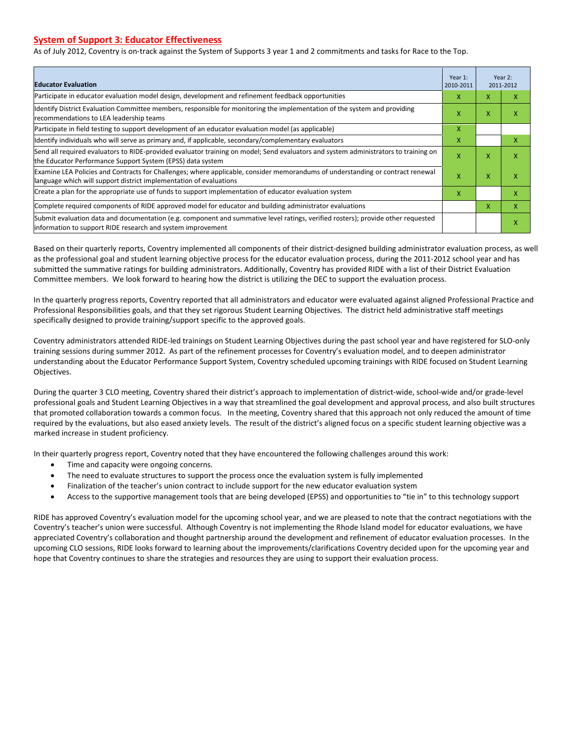#### **System of Support 3: Educator Effectiveness**

As of July 2012, Coventry is on-track against the System of Supports 3 year 1 and 2 commitments and tasks for Race to the Top.

| <b>Educator Evaluation</b>                                                                                                                                                                            |   |   | Year 2:<br>2011-2012 |
|-------------------------------------------------------------------------------------------------------------------------------------------------------------------------------------------------------|---|---|----------------------|
| Participate in educator evaluation model design, development and refinement feedback opportunities                                                                                                    | x | X | x                    |
| Identify District Evaluation Committee members, responsible for monitoring the implementation of the system and providing<br>recommendations to LEA leadership teams                                  |   | X | ж                    |
| Participate in field testing to support development of an educator evaluation model (as applicable)                                                                                                   |   |   |                      |
| Identify individuals who will serve as primary and, if applicable, secondary/complementary evaluators                                                                                                 | X |   | x                    |
| Send all required evaluators to RIDE-provided evaluator training on model; Send evaluators and system administrators to training on<br>the Educator Performance Support System (EPSS) data system     | x | X | x                    |
| Examine LEA Policies and Contracts for Challenges; where applicable, consider memorandums of understanding or contract renewal<br>llanguage which will support district implementation of evaluations | X | X | x                    |
| Create a plan for the appropriate use of funds to support implementation of educator evaluation system                                                                                                |   |   | x                    |
| Complete required components of RIDE approved model for educator and building administrator evaluations                                                                                               |   |   | X                    |
| Submit evaluation data and documentation (e.g. component and summative level ratings, verified rosters); provide other requested<br>information to support RIDE research and system improvement       |   |   | x                    |

Based on their quarterly reports, Coventry implemented all components of their district-designed building administrator evaluation process, as well as the professional goal and student learning objective process for the educator evaluation process, during the 2011-2012 school year and has submitted the summative ratings for building administrators. Additionally, Coventry has provided RIDE with a list of their District Evaluation Committee members. We look forward to hearing how the district is utilizing the DEC to support the evaluation process.

In the quarterly progress reports, Coventry reported that all administrators and educator were evaluated against aligned Professional Practice and Professional Responsibilities goals, and that they set rigorous Student Learning Objectives. The district held administrative staff meetings specifically designed to provide training/support specific to the approved goals.

Coventry administrators attended RIDE-led trainings on Student Learning Objectives during the past school year and have registered for SLO-only training sessions during summer 2012. As part of the refinement processes for Coventry's evaluation model, and to deepen administrator understanding about the Educator Performance Support System, Coventry scheduled upcoming trainings with RIDE focused on Student Learning Objectives.

During the quarter 3 CLO meeting, Coventry shared their district's approach to implementation of district-wide, school-wide and/or grade-level professional goals and Student Learning Objectives in a way that streamlined the goal development and approval process, and also built structures that promoted collaboration towards a common focus. In the meeting, Coventry shared that this approach not only reduced the amount of time required by the evaluations, but also eased anxiety levels. The result of the district's aligned focus on a specific student learning objective was a marked increase in student proficiency.

In their quarterly progress report, Coventry noted that they have encountered the following challenges around this work:

- Time and capacity were ongoing concerns.
- The need to evaluate structures to support the process once the evaluation system is fully implemented
- Finalization of the teacher's union contract to include support for the new educator evaluation system
- Access to the supportive management tools that are being developed (EPSS) and opportunities to "tie in" to this technology support

RIDE has approved Coventry's evaluation model for the upcoming school year, and we are pleased to note that the contract negotiations with the Coventry's teacher's union were successful. Although Coventry is not implementing the Rhode Island model for educator evaluations, we have appreciated Coventry's collaboration and thought partnership around the development and refinement of educator evaluation processes. In the upcoming CLO sessions, RIDE looks forward to learning about the improvements/clarifications Coventry decided upon for the upcoming year and hope that Coventry continues to share the strategies and resources they are using to support their evaluation process.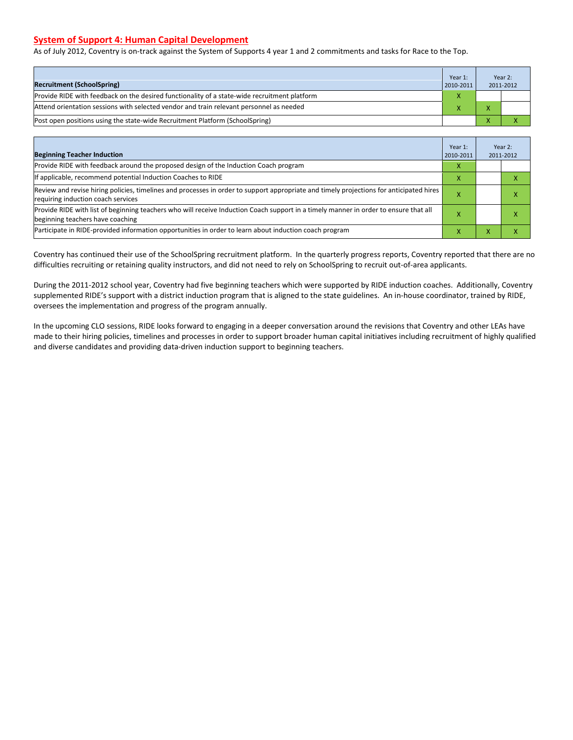#### **System of Support 4: Human Capital Development**

As of July 2012, Coventry is on-track against the System of Supports 4 year 1 and 2 commitments and tasks for Race to the Top.

| <b>Recruitment (SchoolSpring)</b>                                                            | Year 1:<br>2010-2011 |  | Year 2:<br>2011-2012 |
|----------------------------------------------------------------------------------------------|----------------------|--|----------------------|
| Provide RIDE with feedback on the desired functionality of a state-wide recruitment platform |                      |  |                      |
| Attend orientation sessions with selected vendor and train relevant personnel as needed      |                      |  |                      |
| (Post open positions using the state-wide Recruitment Platform (SchoolSpring)                |                      |  |                      |

| <b>Beginning Teacher Induction</b>                                                                                                                                            | Year 1:<br>2010-2011 |   | Year 2:<br>2011-2012 |
|-------------------------------------------------------------------------------------------------------------------------------------------------------------------------------|----------------------|---|----------------------|
| Provide RIDE with feedback around the proposed design of the Induction Coach program                                                                                          | X                    |   |                      |
| If applicable, recommend potential Induction Coaches to RIDE                                                                                                                  | X                    |   |                      |
| Review and revise hiring policies, timelines and processes in order to support appropriate and timely projections for anticipated hires<br>requiring induction coach services |                      |   | ⋏                    |
| Provide RIDE with list of beginning teachers who will receive Induction Coach support in a timely manner in order to ensure that all<br>beginning teachers have coaching      |                      |   |                      |
| Participate in RIDE-provided information opportunities in order to learn about induction coach program                                                                        | x                    | ⋏ |                      |

Coventry has continued their use of the SchoolSpring recruitment platform. In the quarterly progress reports, Coventry reported that there are no difficulties recruiting or retaining quality instructors, and did not need to rely on SchoolSpring to recruit out-of-area applicants.

During the 2011-2012 school year, Coventry had five beginning teachers which were supported by RIDE induction coaches. Additionally, Coventry supplemented RIDE's support with a district induction program that is aligned to the state guidelines. An in-house coordinator, trained by RIDE, oversees the implementation and progress of the program annually.

In the upcoming CLO sessions, RIDE looks forward to engaging in a deeper conversation around the revisions that Coventry and other LEAs have made to their hiring policies, timelines and processes in order to support broader human capital initiatives including recruitment of highly qualified and diverse candidates and providing data-driven induction support to beginning teachers.